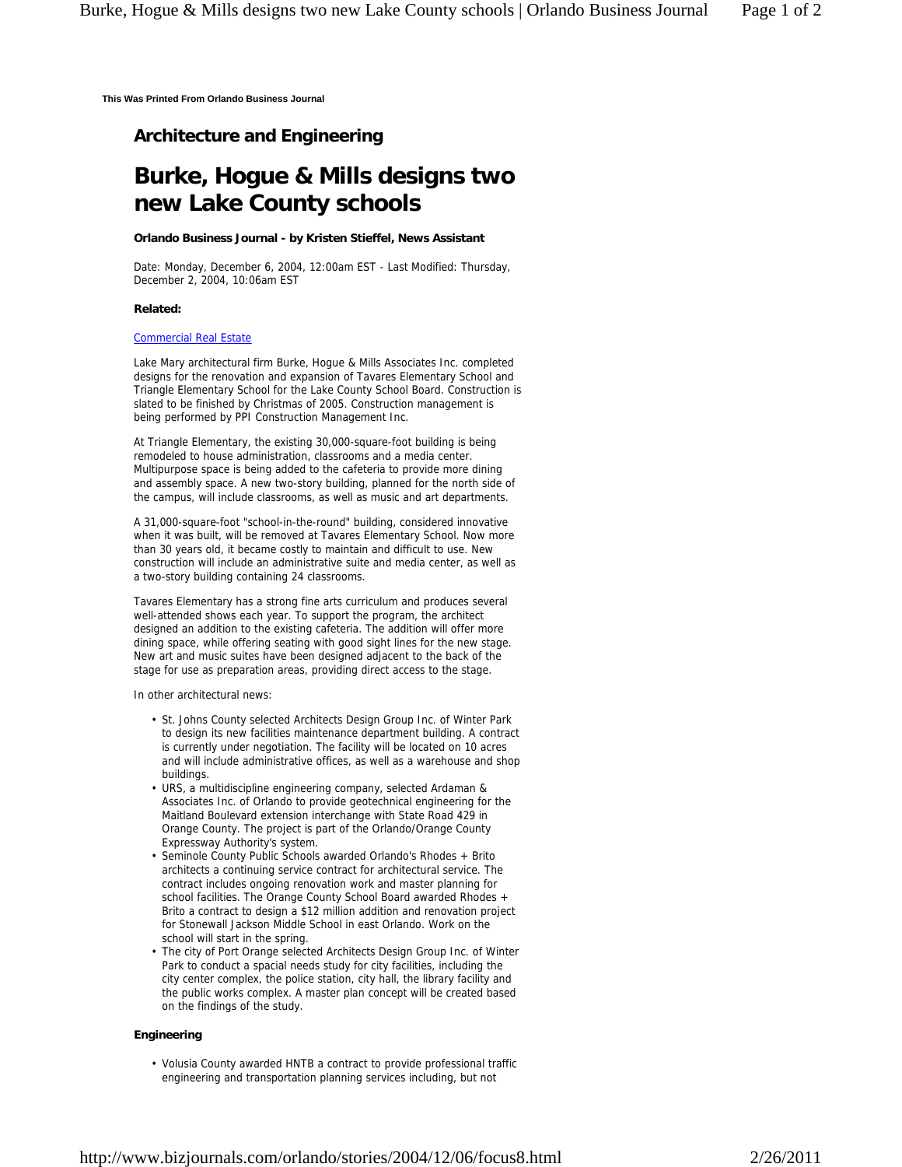**This Was Printed From Orlando Business Journal**

# **Architecture and Engineering**

# **Burke, Hogue & Mills designs two new Lake County schools**

## **Orlando Business Journal - by Kristen Stieffel, News Assistant**

Date: Monday, December 6, 2004, 12:00am EST - Last Modified: Thursday, December 2, 2004, 10:06am EST

#### **Related:**

# Commercial Real Estate

Lake Mary architectural firm Burke, Hogue & Mills Associates Inc. completed designs for the renovation and expansion of Tavares Elementary School and Triangle Elementary School for the Lake County School Board. Construction is slated to be finished by Christmas of 2005. Construction management is being performed by PPI Construction Management Inc.

At Triangle Elementary, the existing 30,000-square-foot building is being remodeled to house administration, classrooms and a media center. Multipurpose space is being added to the cafeteria to provide more dining and assembly space. A new two-story building, planned for the north side of the campus, will include classrooms, as well as music and art departments.

A 31,000-square-foot "school-in-the-round" building, considered innovative when it was built, will be removed at Tavares Elementary School. Now more than 30 years old, it became costly to maintain and difficult to use. New construction will include an administrative suite and media center, as well as a two-story building containing 24 classrooms.

Tavares Elementary has a strong fine arts curriculum and produces several well-attended shows each year. To support the program, the architect designed an addition to the existing cafeteria. The addition will offer more dining space, while offering seating with good sight lines for the new stage. New art and music suites have been designed adjacent to the back of the stage for use as preparation areas, providing direct access to the stage.

In other architectural news:

- St. Johns County selected Architects Design Group Inc. of Winter Park to design its new facilities maintenance department building. A contract is currently under negotiation. The facility will be located on 10 acres and will include administrative offices, as well as a warehouse and shop buildings.
- URS, a multidiscipline engineering company, selected Ardaman & Associates Inc. of Orlando to provide geotechnical engineering for the Maitland Boulevard extension interchange with State Road 429 in Orange County. The project is part of the Orlando/Orange County Expressway Authority's system.
- Seminole County Public Schools awarded Orlando's Rhodes + Brito architects a continuing service contract for architectural service. The contract includes ongoing renovation work and master planning for school facilities. The Orange County School Board awarded Rhodes + Brito a contract to design a \$12 million addition and renovation project for Stonewall Jackson Middle School in east Orlando. Work on the school will start in the spring. •
- The city of Port Orange selected Architects Design Group Inc. of Winter Park to conduct a spacial needs study for city facilities, including the city center complex, the police station, city hall, the library facility and the public works complex. A master plan concept will be created based on the findings of the study. •

## **Engineering**

• Volusia County awarded HNTB a contract to provide professional traffic engineering and transportation planning services including, but not